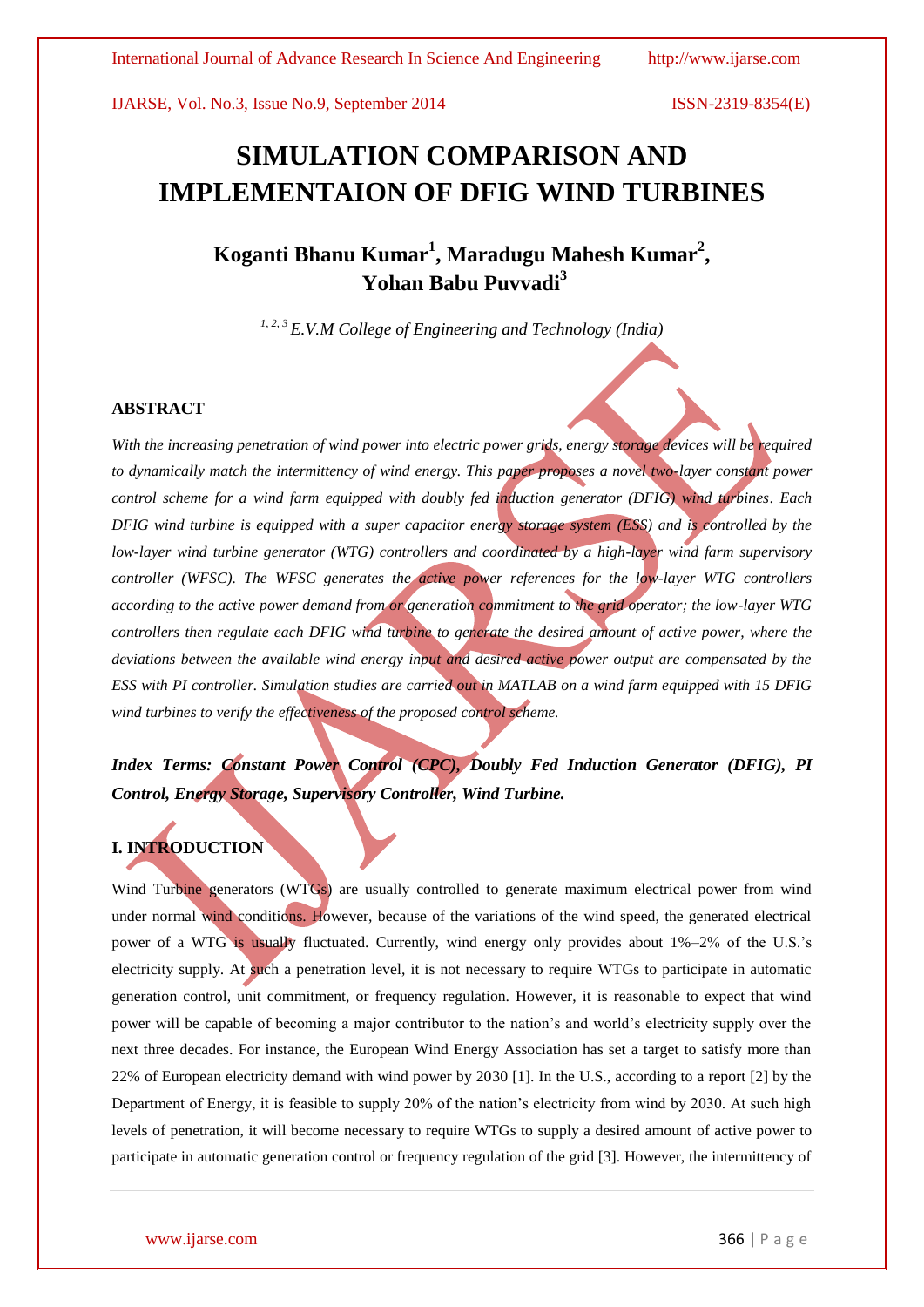# **SIMULATION COMPARISON AND IMPLEMENTAION OF DFIG WIND TURBINES**

# **Koganti Bhanu Kumar<sup>1</sup> , Maradugu Mahesh Kumar<sup>2</sup> , Yohan Babu Puvvadi<sup>3</sup>**

*1, 2, 3 E.V.M College of Engineering and Technology (India)*

## **ABSTRACT**

With the increasing penetration of wind power into electric power grids, energy storage devices will be required *to dynamically match the intermittency of wind energy. This paper proposes a novel two-layer constant power control scheme for a wind farm equipped with doubly fed induction generator (DFIG) wind turbines. Each DFIG wind turbine is equipped with a super capacitor energy storage system (ESS) and is controlled by the low-layer wind turbine generator (WTG) controllers and coordinated by a high-layer wind farm supervisory controller (WFSC). The WFSC generates the active power references for the low-layer WTG controllers according to the active power demand from or generation commitment to the grid operator; the low-layer WTG controllers then regulate each DFIG wind turbine to generate the desired amount of active power, where the deviations between the available wind energy input and desired active power output are compensated by the ESS with PI controller. Simulation studies are carried out in MATLAB on a wind farm equipped with 15 DFIG wind turbines to verify the effectiveness of the proposed control scheme.* 

# *Index Terms: Constant Power Control (CPC), Doubly Fed Induction Generator (DFIG), PI Control, Energy Storage, Supervisory Controller, Wind Turbine.*

# **I. INTRODUCTION**

Wind Turbine generators (WTGs) are usually controlled to generate maximum electrical power from wind under normal wind conditions. However, because of the variations of the wind speed, the generated electrical power of a WTG is usually fluctuated. Currently, wind energy only provides about 1%–2% of the U.S.'s electricity supply. At such a penetration level, it is not necessary to require WTGs to participate in automatic generation control, unit commitment, or frequency regulation. However, it is reasonable to expect that wind power will be capable of becoming a major contributor to the nation's and world's electricity supply over the next three decades. For instance, the European Wind Energy Association has set a target to satisfy more than 22% of European electricity demand with wind power by 2030 [1]. In the U.S., according to a report [2] by the Department of Energy, it is feasible to supply 20% of the nation's electricity from wind by 2030. At such high levels of penetration, it will become necessary to require WTGs to supply a desired amount of active power to participate in automatic generation control or frequency regulation of the grid [3]. However, the intermittency of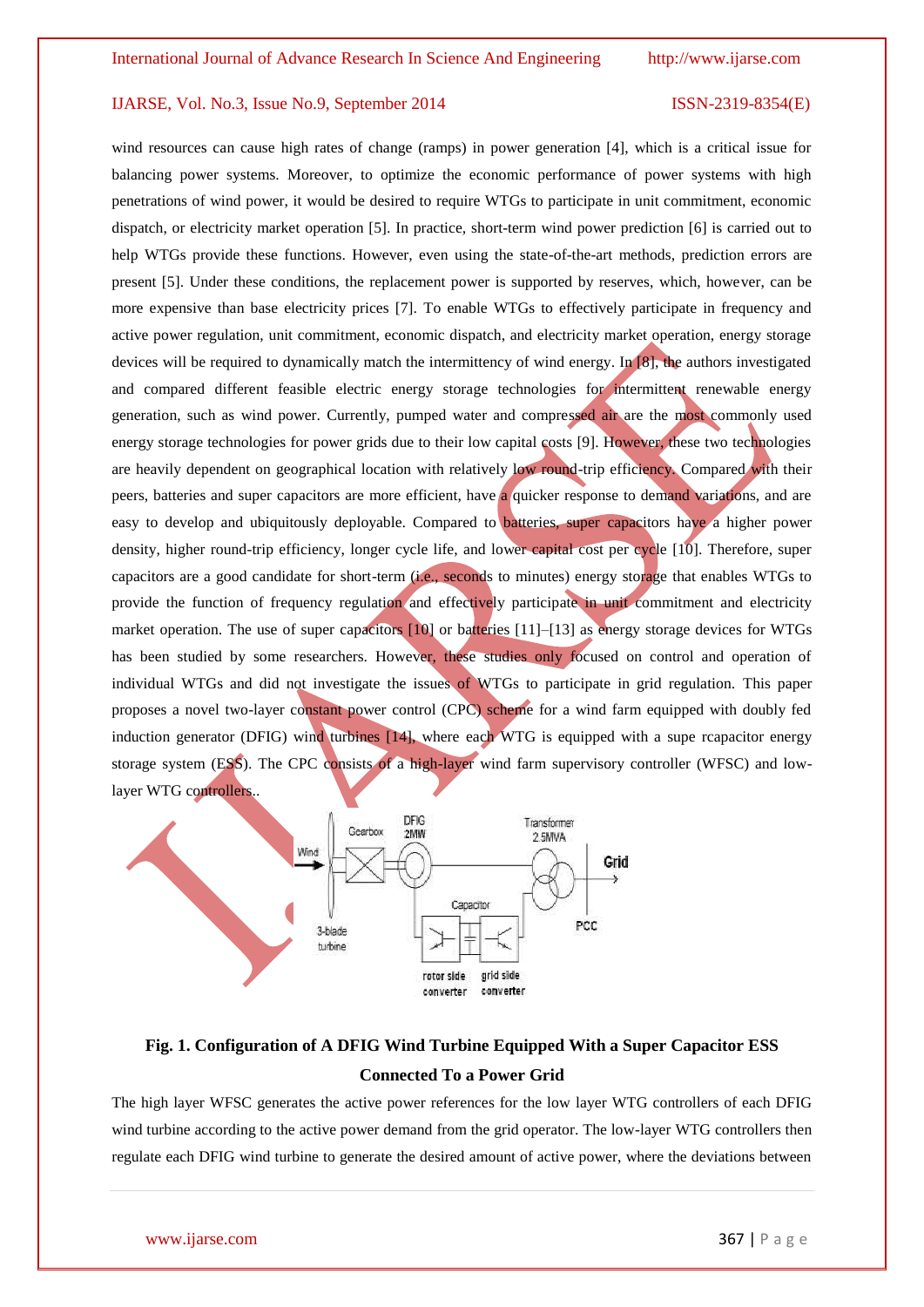wind resources can cause high rates of change (ramps) in power generation [4], which is a critical issue for balancing power systems. Moreover, to optimize the economic performance of power systems with high penetrations of wind power, it would be desired to require WTGs to participate in unit commitment, economic dispatch, or electricity market operation [5]. In practice, short-term wind power prediction [6] is carried out to help WTGs provide these functions. However, even using the state-of-the-art methods, prediction errors are present [5]. Under these conditions, the replacement power is supported by reserves, which, however, can be more expensive than base electricity prices [7]. To enable WTGs to effectively participate in frequency and active power regulation, unit commitment, economic dispatch, and electricity market operation, energy storage devices will be required to dynamically match the intermittency of wind energy. In [8], the authors investigated and compared different feasible electric energy storage technologies for intermittent renewable energy generation, such as wind power. Currently, pumped water and compressed air are the most commonly used energy storage technologies for power grids due to their low capital costs [9]. However, these two technologies are heavily dependent on geographical location with relatively low round-trip efficiency. Compared with their peers, batteries and super capacitors are more efficient, have a quicker response to demand variations, and are easy to develop and ubiquitously deployable. Compared to batteries, super capacitors have a higher power density, higher round-trip efficiency, longer cycle life, and lower capital cost per cycle [10]. Therefore, super capacitors are a good candidate for short-term (i.e., seconds to minutes) energy storage that enables WTGs to provide the function of frequency regulation and effectively participate in unit commitment and electricity market operation. The use of super capacitors [10] or batteries [11]–[13] as energy storage devices for WTGs has been studied by some researchers. However, these studies only focused on control and operation of individual WTGs and did not investigate the issues of WTGs to participate in grid regulation. This paper proposes a novel two-layer constant power control (CPC) scheme for a wind farm equipped with doubly fed induction generator (DFIG) wind turbines [14], where each WTG is equipped with a supe rcapacitor energy storage system (ESS). The CPC consists of a high-layer wind farm supervisory controller (WFSC) and lowlayer WTG controllers..



# **Fig. 1. Configuration of A DFIG Wind Turbine Equipped With a Super Capacitor ESS Connected To a Power Grid**

The high layer WFSC generates the active power references for the low layer WTG controllers of each DFIG wind turbine according to the active power demand from the grid operator. The low-layer WTG controllers then regulate each DFIG wind turbine to generate the desired amount of active power, where the deviations between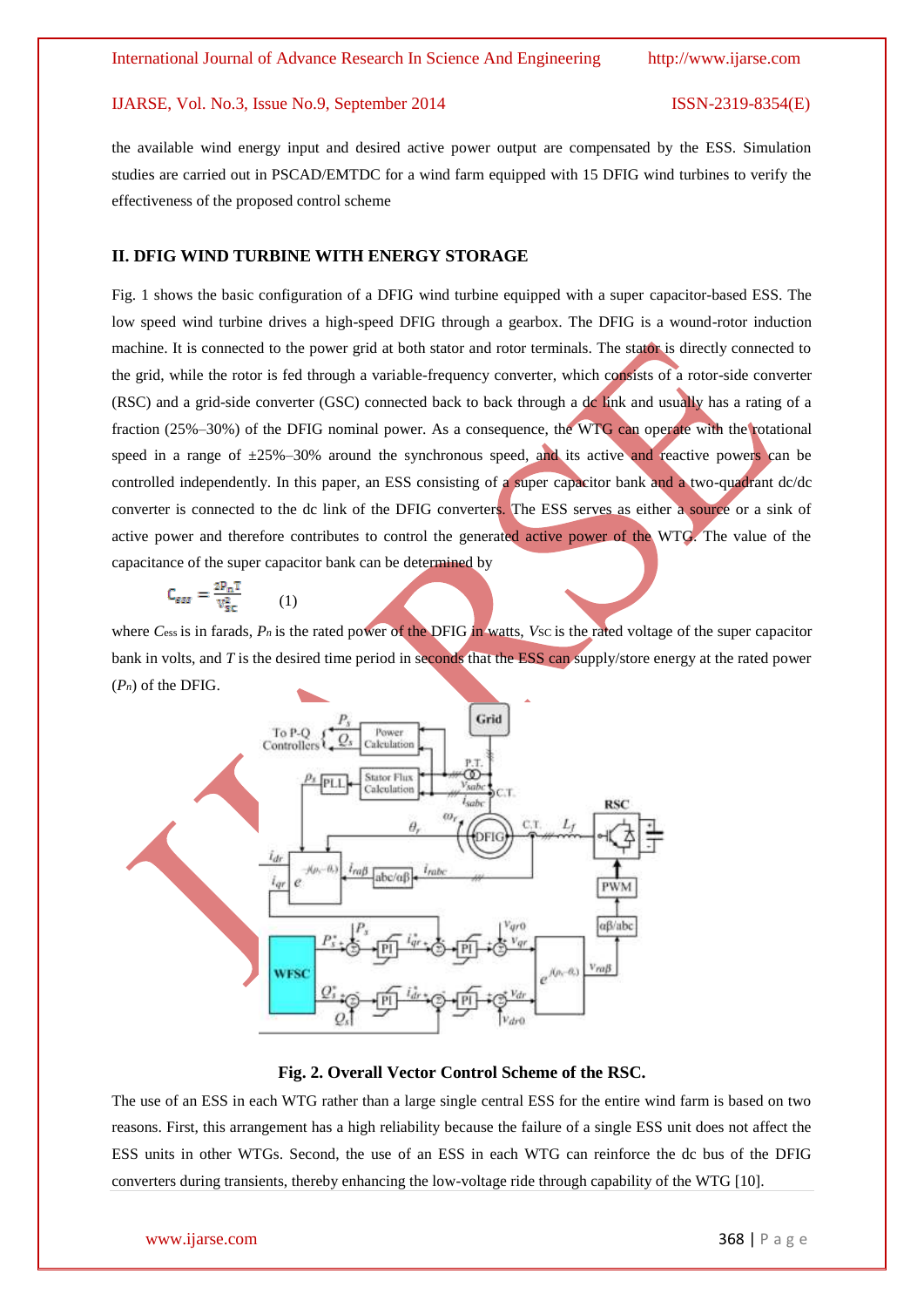the available wind energy input and desired active power output are compensated by the ESS. Simulation studies are carried out in PSCAD/EMTDC for a wind farm equipped with 15 DFIG wind turbines to verify the effectiveness of the proposed control scheme

## **II. DFIG WIND TURBINE WITH ENERGY STORAGE**

Fig. 1 shows the basic configuration of a DFIG wind turbine equipped with a super capacitor-based ESS. The low speed wind turbine drives a high-speed DFIG through a gearbox. The DFIG is a wound-rotor induction machine. It is connected to the power grid at both stator and rotor terminals. The stator is directly connected to the grid, while the rotor is fed through a variable-frequency converter, which consists of a rotor-side converter (RSC) and a grid-side converter (GSC) connected back to back through a dc link and usually has a rating of a fraction (25%–30%) of the DFIG nominal power. As a consequence, the WTG can operate with the rotational speed in a range of  $\pm 25\% - 30\%$  around the synchronous speed, and its active and reactive powers can be controlled independently. In this paper, an ESS consisting of a super capacitor bank and a two-quadrant dc/dc converter is connected to the dc link of the DFIG converters. The ESS serves as either a source or a sink of active power and therefore contributes to control the generated active power of the WTG. The value of the capacitance of the super capacitor bank can be determined by

$$
C_{\text{ess}} = \frac{2P_nT}{V_{\text{sc}}^2} \tag{1}
$$

where *C*ess is in farads, *P<sub>n</sub>* is the rated power of the DFIG in watts, *Vsc* is the rated voltage of the super capacitor bank in volts, and *T* is the desired time period in seconds that the ESS can supply/store energy at the rated power (*Pn*) of the DFIG.



### **Fig. 2. Overall Vector Control Scheme of the RSC.**

The use of an ESS in each WTG rather than a large single central ESS for the entire wind farm is based on two reasons. First, this arrangement has a high reliability because the failure of a single ESS unit does not affect the ESS units in other WTGs. Second, the use of an ESS in each WTG can reinforce the dc bus of the DFIG converters during transients, thereby enhancing the low-voltage ride through capability of the WTG [10].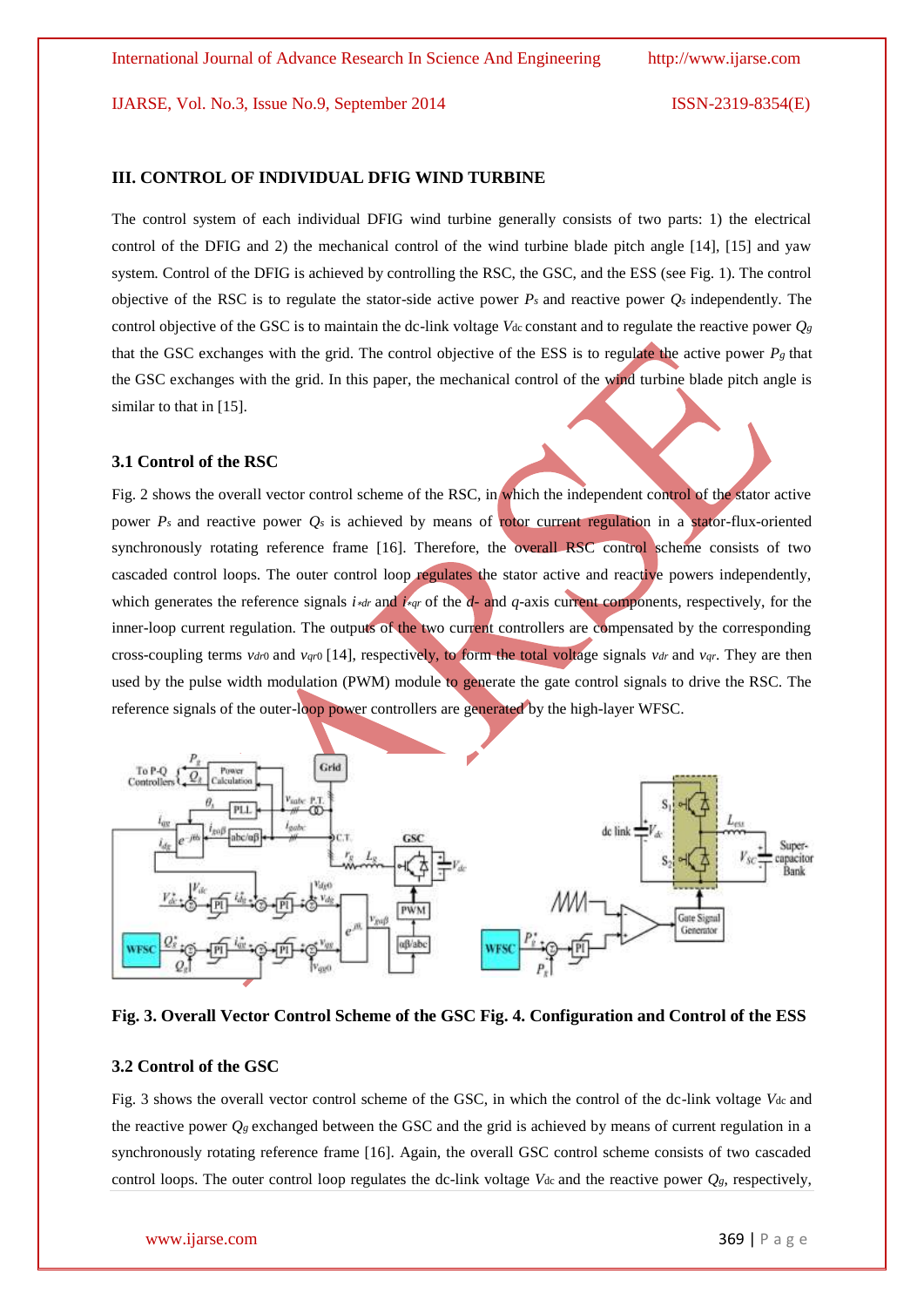### **III. CONTROL OF INDIVIDUAL DFIG WIND TURBINE**

The control system of each individual DFIG wind turbine generally consists of two parts: 1) the electrical control of the DFIG and 2) the mechanical control of the wind turbine blade pitch angle [14], [15] and yaw system. Control of the DFIG is achieved by controlling the RSC, the GSC, and the ESS (see Fig. 1). The control objective of the RSC is to regulate the stator-side active power  $P_s$  and reactive power  $Q_s$  independently. The control objective of the GSC is to maintain the dc-link voltage  $V_{dc}$  constant and to regulate the reactive power  $Q_g$ that the GSC exchanges with the grid. The control objective of the ESS is to regulate the active power  $P_g$  that the GSC exchanges with the grid. In this paper, the mechanical control of the wind turbine blade pitch angle is similar to that in [15].

### **3.1 Control of the RSC**

Fig. 2 shows the overall vector control scheme of the RSC, in which the independent control of the stator active power  $P_s$  and reactive power  $Q_s$  is achieved by means of rotor current regulation in a stator-flux-oriented synchronously rotating reference frame [16]. Therefore, the overall RSC control scheme consists of two cascaded control loops. The outer control loop regulates the stator active and reactive powers independently, which generates the reference signals *i*∗*dr* and *i*∗*qr* of the *d*- and *q*-axis current components, respectively, for the inner-loop current regulation. The outputs of the two current controllers are compensated by the corresponding cross-coupling terms *vdr*0 and *v*<sub>*qr*0</sub> [14], respectively, to form the total voltage signals *vdr* and *v*<sub>*qr*</sub>. They are then used by the pulse width modulation (PWM) module to generate the gate control signals to drive the RSC. The reference signals of the outer-loop power controllers are generated by the high-layer WFSC.



**Fig. 3. Overall Vector Control Scheme of the GSC Fig. 4. Configuration and Control of the ESS**

### **3.2 Control of the GSC**

Fig. 3 shows the overall vector control scheme of the GSC, in which the control of the dc-link voltage *V*dc and the reactive power  $Q_g$  exchanged between the GSC and the grid is achieved by means of current regulation in a synchronously rotating reference frame [16]. Again, the overall GSC control scheme consists of two cascaded control loops. The outer control loop regulates the dc-link voltage  $V_{dc}$  and the reactive power  $Q_g$ , respectively,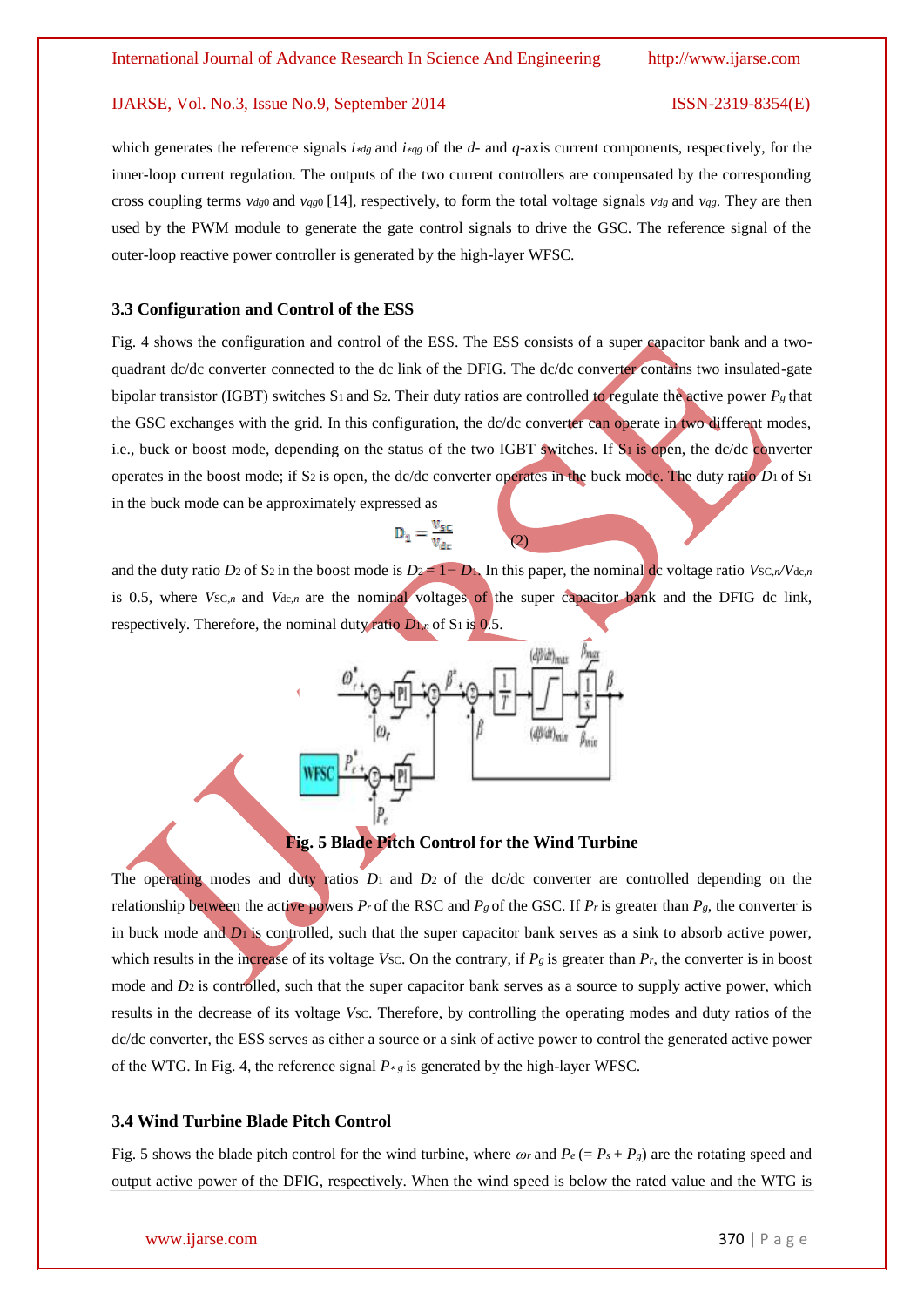which generates the reference signals *i*∗*dg* and *i*∗*qg* of the *d*- and *q*-axis current components, respectively, for the inner-loop current regulation. The outputs of the two current controllers are compensated by the corresponding cross coupling terms *vdg*<sub>0</sub> and *v<sub>qg</sub>*<sub>0</sub> [14], respectively, to form the total voltage signals *v<sub>dg</sub>* and *v<sub>qg</sub>*. They are then used by the PWM module to generate the gate control signals to drive the GSC. The reference signal of the outer-loop reactive power controller is generated by the high-layer WFSC.

### **3.3 Configuration and Control of the ESS**

Fig. 4 shows the configuration and control of the ESS. The ESS consists of a super capacitor bank and a twoquadrant dc/dc converter connected to the dc link of the DFIG. The dc/dc converter contains two insulated-gate bipolar transistor (IGBT) switches S1 and S2. Their duty ratios are controlled to regulate the active power *Pg* that the GSC exchanges with the grid. In this configuration, the dc/dc converter can operate in two different modes, i.e., buck or boost mode, depending on the status of the two IGBT switches. If S1 is open, the dc/dc converter operates in the boost mode; if S2 is open, the dc/dc converter operates in the buck mode. The duty ratio *D*1 of S<sup>1</sup> in the buck mode can be approximately expressed as

# $D_1 = \frac{V_{SC}}{V_{S}}$

and the duty ratio *D*2 of S2 in the boost mode is  $D_2 = 1 - D_1$ . In this paper, the nominal dc voltage ratio *Vsc,n/Vdc,n* is 0.5, where  $V_{SC,n}$  and  $V_{dc,n}$  are the nominal voltages of the super capacitor bank and the DFIG dc link, respectively. Therefore, the nominal duty ratio *D*1*,n* of S<sup>1</sup> is 0.5.

(2)



# **Fig. 5 Blade Pitch Control for the Wind Turbine**

The operating modes and duty ratios *D*1 and *D*2 of the dc/dc converter are controlled depending on the relationship between the active powers  $P_r$  of the RSC and  $P_g$  of the GSC. If  $P_r$  is greater than  $P_g$ , the converter is in buck mode and *D*1 is controlled, such that the super capacitor bank serves as a sink to absorb active power, which results in the increase of its voltage *Vsc*. On the contrary, if  $P_g$  is greater than  $P_r$ , the converter is in boost mode and *D*<sub>2</sub> is controlled, such that the super capacitor bank serves as a source to supply active power, which results in the decrease of its voltage *Vsc*. Therefore, by controlling the operating modes and duty ratios of the dc/dc converter, the ESS serves as either a source or a sink of active power to control the generated active power of the WTG. In Fig. 4, the reference signal  $P \ast g$  is generated by the high-layer WFSC.

## **3.4 Wind Turbine Blade Pitch Control**

Fig. 5 shows the blade pitch control for the wind turbine, where  $\omega_r$  and  $P_e (= P_s + P_g)$  are the rotating speed and output active power of the DFIG, respectively. When the wind speed is below the rated value and the WTG is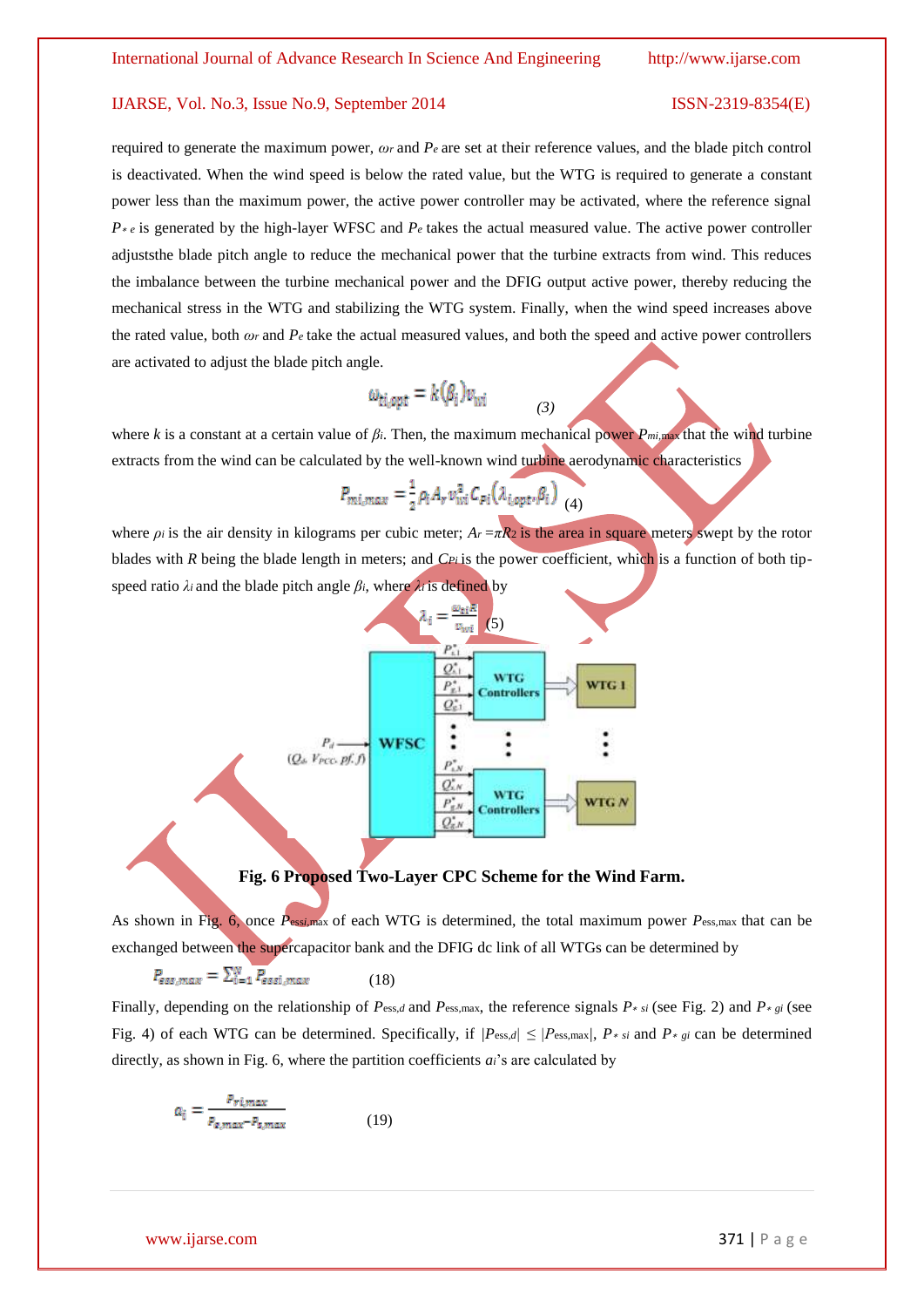required to generate the maximum power, *ωr* and *Pe* are set at their reference values, and the blade pitch control is deactivated. When the wind speed is below the rated value, but the WTG is required to generate a constant power less than the maximum power, the active power controller may be activated, where the reference signal *P*<sup>∗</sup> *e* is generated by the high-layer WFSC and *P*<sup>*e*</sup> takes the actual measured value. The active power controller adjuststhe blade pitch angle to reduce the mechanical power that the turbine extracts from wind. This reduces the imbalance between the turbine mechanical power and the DFIG output active power, thereby reducing the mechanical stress in the WTG and stabilizing the WTG system. Finally, when the wind speed increases above the rated value, both  $\omega_r$  and  $P_e$  take the actual measured values, and both the speed and active power controllers are activated to adjust the blade pitch angle.

$$
\omega_{ti,opt} = k(\beta_i)v_{wi}
$$

where *k* is a constant at a certain value of *βi*. Then, the maximum mechanical power *Pmi,*max that the wind turbine extracts from the wind can be calculated by the well-known wind turbine aerodynamic characteristics

*(3)*

$$
P_{mi,max} = \frac{1}{2} \rho_i A_r v_{wi}^3 C_{pi} (\lambda_{i,opt}, \beta_i)
$$
 (4)

where  $\rho_i$  is the air density in kilograms per cubic meter;  $A_r = \pi R_2$  is the area in square meters swept by the rotor blades with *R* being the blade length in meters; and *CPi* is the power coefficient, which is a function of both tipspeed ratio  $\lambda_i$  and the blade pitch angle  $\beta_i$ , where  $\lambda_i$  is defined by



## **Fig. 6 Proposed Two-Layer CPC Scheme for the Wind Farm.**

As shown in Fig. 6, once *P*ess*i,*max of each WTG is determined, the total maximum power *P*ess*,*max that can be exchanged between the supercapacitor bank and the DFIG dc link of all WTGs can be determined by

$$
P_{ess,max} = \sum_{i=1}^{N} P_{essi,max} \tag{18}
$$

Finally, depending on the relationship of  $P_{\text{ess},d}$  and  $P_{\text{ess},\text{max}}$ , the reference signals  $P * s_i$  (see Fig. 2) and  $P * s_i$  (see Fig. 4) of each WTG can be determined. Specifically, if  $/P_{\text{ess},d} \leq |P_{\text{ess},\text{max}}/P_{\text{*,}}$  *P*<sub>\* *gi*</sub> can be determined directly, as shown in Fig. 6, where the partition coefficients *ai*'s are calculated by

$$
a_i = \frac{P_{r,max}}{P_{\epsilon, max} - P_{\epsilon, max}} \tag{19}
$$

www.ijarse.com 371 | P a g e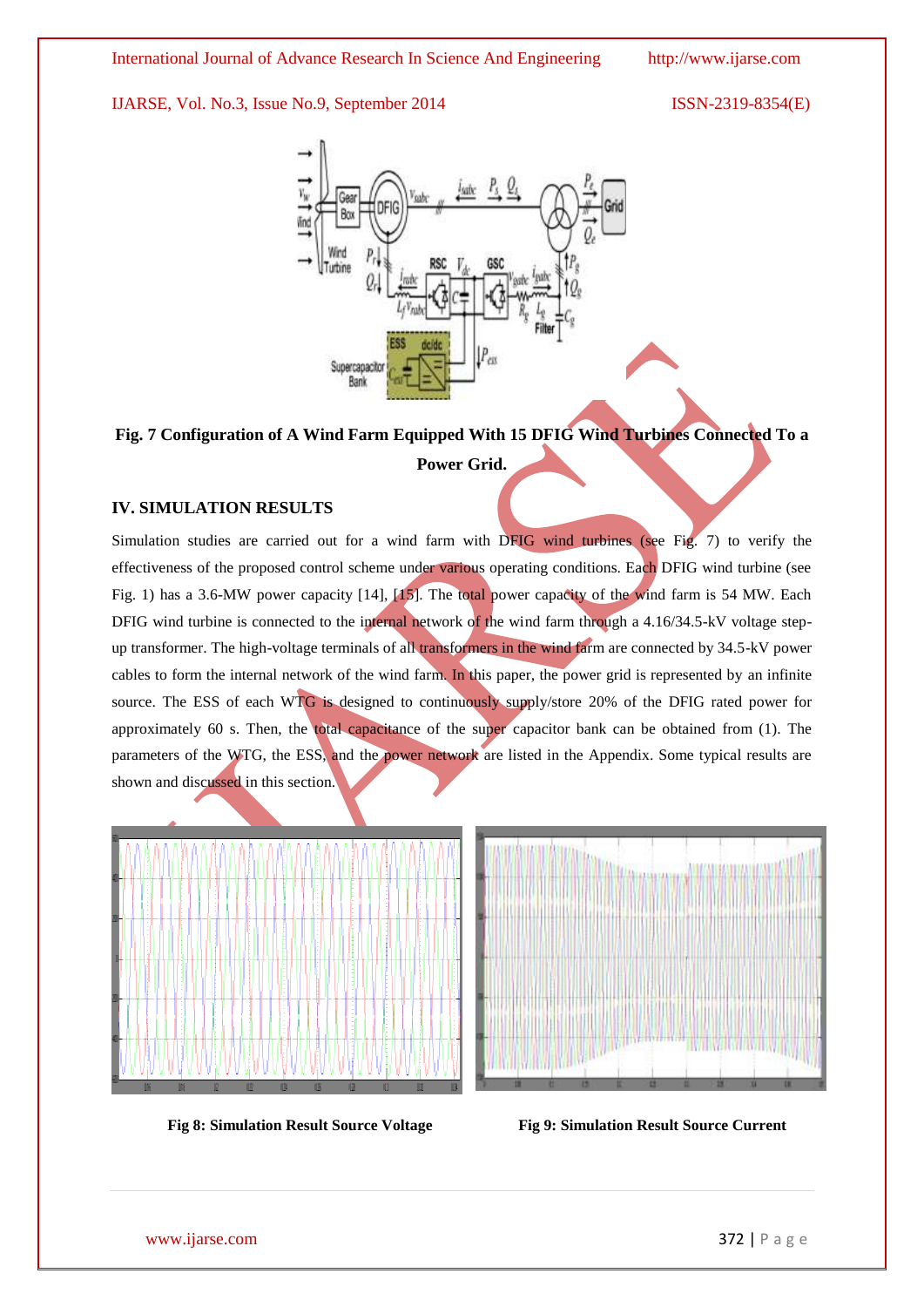

# **Fig. 7 Configuration of A Wind Farm Equipped With 15 DFIG Wind Turbines Connected To a Power Grid.**

# **IV. SIMULATION RESULTS**

Simulation studies are carried out for a wind farm with DFIG wind turbines (see Fig. 7) to verify the effectiveness of the proposed control scheme under various operating conditions. Each DFIG wind turbine (see Fig. 1) has a 3.6-MW power capacity [14], [15]. The total power capacity of the wind farm is 54 MW. Each DFIG wind turbine is connected to the internal network of the wind farm through a 4.16/34.5-kV voltage stepup transformer. The high-voltage terminals of all transformers in the wind farm are connected by 34.5-kV power cables to form the internal network of the wind farm. In this paper, the power grid is represented by an infinite source. The ESS of each WTG is designed to continuously supply/store 20% of the DFIG rated power for approximately 60 s. Then, the total capacitance of the super capacitor bank can be obtained from (1). The parameters of the WTG, the ESS, and the power network are listed in the Appendix. Some typical results are shown and discussed in this section.





**Fig 8: Simulation Result Source Voltage Fig 9: Simulation Result Source Current**

www.ijarse.com 372 | P a g e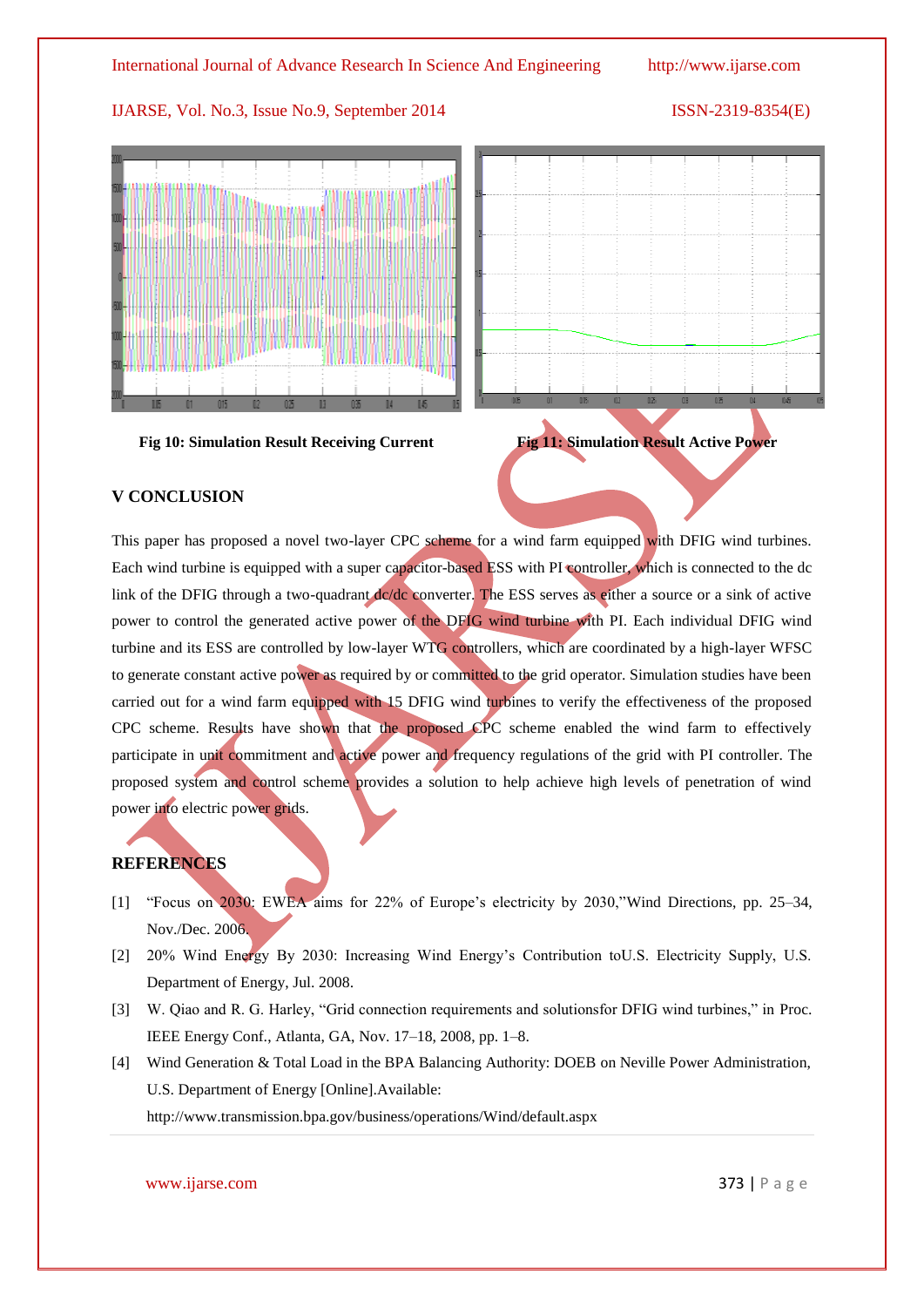

# **V CONCLUSION**

This paper has proposed a novel two-layer CPC scheme for a wind farm equipped with DFIG wind turbines. Each wind turbine is equipped with a super capacitor-based ESS with PI controller, which is connected to the dc link of the DFIG through a two-quadrant dc/dc converter. The ESS serves as either a source or a sink of active power to control the generated active power of the DFIG wind turbine with PI. Each individual DFIG wind turbine and its ESS are controlled by low-layer WTG controllers, which are coordinated by a high-layer WFSC to generate constant active power as required by or committed to the grid operator. Simulation studies have been carried out for a wind farm equipped with 15 DFIG wind turbines to verify the effectiveness of the proposed CPC scheme. Results have shown that the proposed CPC scheme enabled the wind farm to effectively participate in unit commitment and active power and frequency regulations of the grid with PI controller. The proposed system and control scheme provides a solution to help achieve high levels of penetration of wind power into electric power grids.

# **REFERENCES**

- [1] "Focus on 2030: EWEA aims for 22% of Europe's electricity by 2030,"Wind Directions, pp. 25–34, Nov./Dec. 2006.
- [2] 20% Wind Energy By 2030: Increasing Wind Energy's Contribution toU.S. Electricity Supply, U.S. Department of Energy, Jul. 2008.
- [3] W. Qiao and R. G. Harley, "Grid connection requirements and solutions for DFIG wind turbines," in Proc. IEEE Energy Conf., Atlanta, GA, Nov. 17–18, 2008, pp. 1–8.
- [4] Wind Generation & Total Load in the BPA Balancing Authority: DOEB on Neville Power Administration, U.S. Department of Energy [Online].Available:

http://www.transmission.bpa.gov/business/operations/Wind/default.aspx

## www.ijarse.com 373 | P a g e